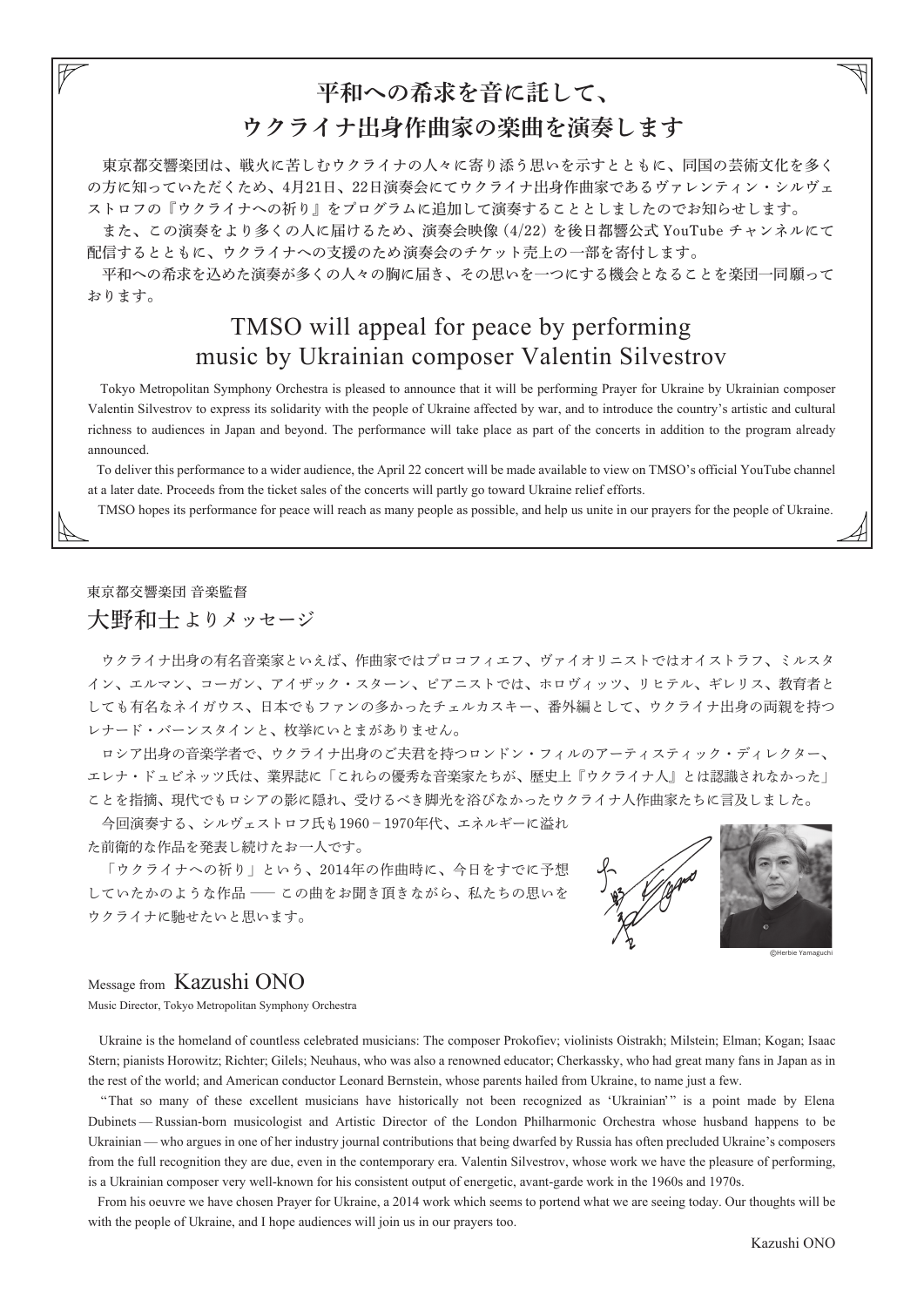# 平和への希求を音に託して、 ウクライナ出身作曲家の楽曲を演奏します

 東京都交響楽団は、戦火に苦しむウクライナの人々に寄り添う思いを示すとともに、同国の芸術文化を多く の方に知っていただくため、4月21日、22日演奏会にてウクライナ出身作曲家であるヴァレンティン・シルヴェ ストロフの『ウクライナへの祈り』をプログラムに追加して演奏することとしましたのでお知らせします。

 また、この演奏をより多くの人に届けるため、演奏会映像 (4/22) を後日都響公式 YouTube チャンネルにて 配信するとともに、ウクライナへの支援のため演奏会のチケット売上の一部を寄付します。

 平和への希求を込めた演奏が多くの人々の胸に届き、その思いを一つにする機会となることを楽団一同願って おります。

## TMSO will appeal for peace by performing music by Ukrainian composer Valentin Silvestrov

 Tokyo Metropolitan Symphony Orchestra is pleased to announce that it will be performing Prayer for Ukraine by Ukrainian composer Valentin Silvestrov to express its solidarity with the people of Ukraine affected by war, and to introduce the country's artistic and cultural richness to audiences in Japan and beyond. The performance will take place as part of the concerts in addition to the program already announced.

 To deliver this performance to a wider audience, the April 22 concert will be made available to view on TMSO's official YouTube channel at a later date. Proceeds from the ticket sales of the concerts will partly go toward Ukraine relief efforts.

TMSO hopes its performance for peace will reach as many people as possible, and help us unite in our prayers for the people of Ukraine.

### 東京都交響楽団 音楽監督 大野和士よりメッセージ

 ウクライナ出身の有名音楽家といえば、作曲家ではプロコフィエフ、ヴァイオリニストではオイストラフ、ミルスタ イン、エルマン、コーガン、アイザック・スターン、ピアニストでは、ホロヴィッツ、リヒテル、ギレリス、教育者と しても有名なネイガウス、日本でもファンの多かったチェルカスキー、番外編として、ウクライナ出身の両親を持つ レナード・バーンスタインと、枚挙にいとまがありません。

 ロシア出身の音楽学者で、ウクライナ出身のご夫君を持つロンドン・フィルのアーティスティック・ディレクター、 エレナ・ドュビネッツ氏は、業界誌に「これらの優秀な音楽家たちが、歴史上『ウクライナ人』とは認識されなかった」 ことを指摘、現代でもロシアの影に隠れ、受けるべき脚光を浴びなかったウクライナ人作曲家たちに言及しました。

 今回演奏する、シルヴェストロフ氏も1960-1970年代、エネルギーに溢れ た前衛的な作品を発表し続けたお一人です。

 「ウクライナへの祈り」という、2014年の作曲時に、今日をすでに予想 していたかのような作品 ―この曲をお聞き頂きながら、私たちの思いを ウクライナに馳せたいと思います。



#### Message from Kazushi ONO

Music Director, Tokyo Metropolitan Symphony Orchestra

 Ukraine is the homeland of countless celebrated musicians: The composer Prokofiev; violinists Oistrakh; Milstein; Elman; Kogan; Isaac Stern; pianists Horowitz; Richter; Gilels; Neuhaus, who was also a renowned educator; Cherkassky, who had great many fans in Japan as in the rest of the world; and American conductor Leonard Bernstein, whose parents hailed from Ukraine, to name just a few.

 "That so many of these excellent musicians have historically not been recognized as 'Ukrainian'" is a point made by Elena Dubinets — Russian-born musicologist and Artistic Director of the London Philharmonic Orchestra whose husband happens to be Ukrainian — who argues in one of her industry journal contributions that being dwarfed by Russia has often precluded Ukraine's composers from the full recognition they are due, even in the contemporary era. Valentin Silvestrov, whose work we have the pleasure of performing, is a Ukrainian composer very well-known for his consistent output of energetic, avant-garde work in the 1960s and 1970s.

 From his oeuvre we have chosen Prayer for Ukraine, a 2014 work which seems to portend what we are seeing today. Our thoughts will be with the people of Ukraine, and I hope audiences will join us in our prayers too.